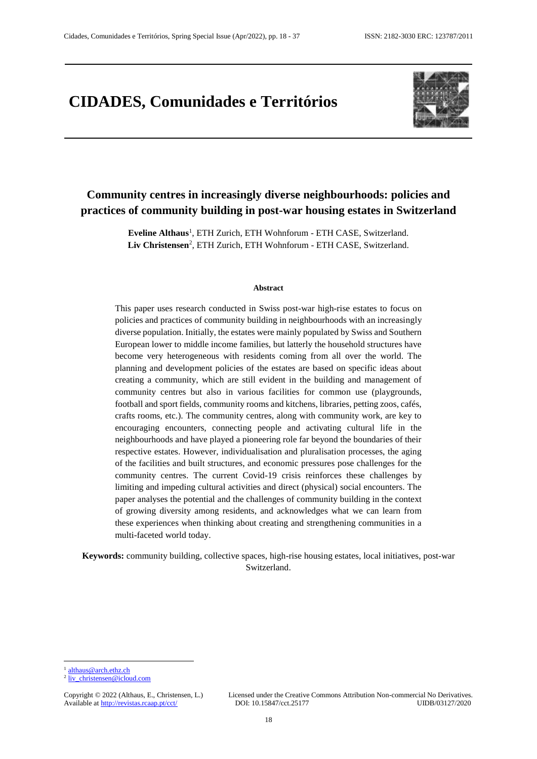# **CIDADES, Comunidades e Territórios**



# **Community centres in increasingly diverse neighbourhoods: policies and practices of community building in post-war housing estates in Switzerland**

**Eveline Althaus**<sup>1</sup> , ETH Zurich, ETH Wohnforum - ETH CASE, Switzerland. Liv Christensen<sup>2</sup>, ETH Zurich, ETH Wohnforum - ETH CASE, Switzerland.

#### **Abstract**

This paper uses research conducted in Swiss post-war high-rise estates to focus on policies and practices of community building in neighbourhoods with an increasingly diverse population. Initially, the estates were mainly populated by Swiss and Southern European lower to middle income families, but latterly the household structures have become very heterogeneous with residents coming from all over the world. The planning and development policies of the estates are based on specific ideas about creating a community, which are still evident in the building and management of community centres but also in various facilities for common use (playgrounds, football and sport fields, community rooms and kitchens, libraries, petting zoos, cafés, crafts rooms, etc.). The community centres, along with community work, are key to encouraging encounters, connecting people and activating cultural life in the neighbourhoods and have played a pioneering role far beyond the boundaries of their respective estates. However, individualisation and pluralisation processes, the aging of the facilities and built structures, and economic pressures pose challenges for the community centres. The current Covid-19 crisis reinforces these challenges by limiting and impeding cultural activities and direct (physical) social encounters. The paper analyses the potential and the challenges of community building in the context of growing diversity among residents, and acknowledges what we can learn from these experiences when thinking about creating and strengthening communities in a multi-faceted world today.

**Keywords:** community building, collective spaces, high-rise housing estates, local initiatives, post-war Switzerland.

 $\overline{a}$ 

<sup>2</sup> [liv\\_christensen@icloud.com](mailto:liv_christensen@icloud.com)

Copyright © 2022 (Althaus, E., Christensen, L.) Licensed under the Creative Commons Attribution Non-commercial No Derivatives.<br>Available at http://revistas.rcaap.pt/cct/ DOI: 10.15847/cct.25177 UIDB/03127/2020

<sup>&</sup>lt;sup>1</sup> [althaus@arch.ethz.ch](mailto:althaus@arch.ethz.ch)

Available at http://revistas.rcaap.pt/cct/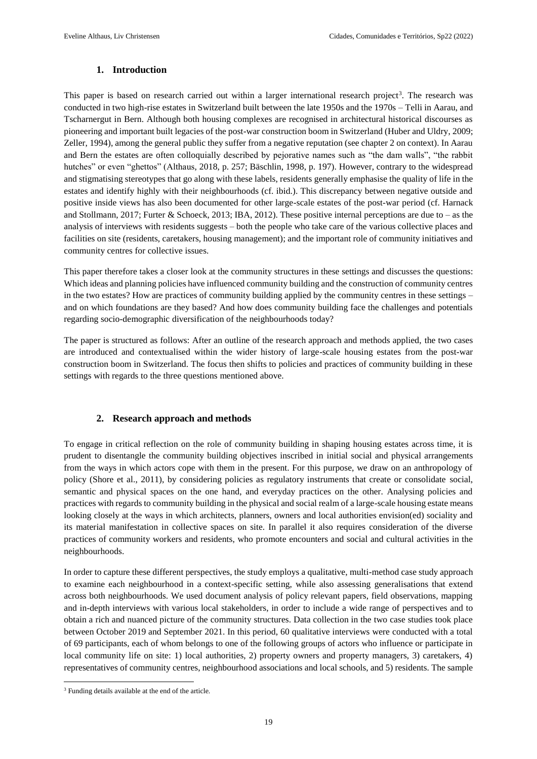# **1. Introduction**

This paper is based on research carried out within a larger international research project<sup>3</sup>. The research was conducted in two high-rise estates in Switzerland built between the late 1950s and the 1970s – Telli in Aarau, and Tscharnergut in Bern. Although both housing complexes are recognised in architectural historical discourses as pioneering and important built legacies of the post-war construction boom in Switzerland (Huber and Uldry, 2009; Zeller, 1994), among the general public they suffer from a negative reputation (see chapter 2 on context). In Aarau and Bern the estates are often colloquially described by pejorative names such as "the dam walls", "the rabbit hutches" or even "ghettos" (Althaus, 2018, p. 257; Bäschlin, 1998, p. 197). However, contrary to the widespread and stigmatising stereotypes that go along with these labels, residents generally emphasise the quality of life in the estates and identify highly with their neighbourhoods (cf. ibid.). This discrepancy between negative outside and positive inside views has also been documented for other large-scale estates of the post-war period (cf. Harnack and Stollmann, 2017; Furter & Schoeck, 2013; IBA, 2012). These positive internal perceptions are due to – as the analysis of interviews with residents suggests – both the people who take care of the various collective places and facilities on site (residents, caretakers, housing management); and the important role of community initiatives and community centres for collective issues.

This paper therefore takes a closer look at the community structures in these settings and discusses the questions: Which ideas and planning policies have influenced community building and the construction of community centres in the two estates? How are practices of community building applied by the community centres in these settings – and on which foundations are they based? And how does community building face the challenges and potentials regarding socio-demographic diversification of the neighbourhoods today?

The paper is structured as follows: After an outline of the research approach and methods applied, the two cases are introduced and contextualised within the wider history of large-scale housing estates from the post-war construction boom in Switzerland. The focus then shifts to policies and practices of community building in these settings with regards to the three questions mentioned above.

### **2. Research approach and methods**

To engage in critical reflection on the role of community building in shaping housing estates across time, it is prudent to disentangle the community building objectives inscribed in initial social and physical arrangements from the ways in which actors cope with them in the present. For this purpose, we draw on an anthropology of policy (Shore et al., 2011), by considering policies as regulatory instruments that create or consolidate social, semantic and physical spaces on the one hand, and everyday practices on the other. Analysing policies and practices with regards to community building in the physical and social realm of a large-scale housing estate means looking closely at the ways in which architects, planners, owners and local authorities envision(ed) sociality and its material manifestation in collective spaces on site. In parallel it also requires consideration of the diverse practices of community workers and residents, who promote encounters and social and cultural activities in the neighbourhoods.

In order to capture these different perspectives, the study employs a qualitative, multi-method case study approach to examine each neighbourhood in a context-specific setting, while also assessing generalisations that extend across both neighbourhoods. We used document analysis of policy relevant papers, field observations, mapping and in-depth interviews with various local stakeholders, in order to include a wide range of perspectives and to obtain a rich and nuanced picture of the community structures. Data collection in the two case studies took place between October 2019 and September 2021. In this period, 60 qualitative interviews were conducted with a total of 69 participants, each of whom belongs to one of the following groups of actors who influence or participate in local community life on site: 1) local authorities, 2) property owners and property managers, 3) caretakers, 4) representatives of community centres, neighbourhood associations and local schools, and 5) residents. The sample

 $\overline{\phantom{a}}$ <sup>3</sup> Funding details available at the end of the article.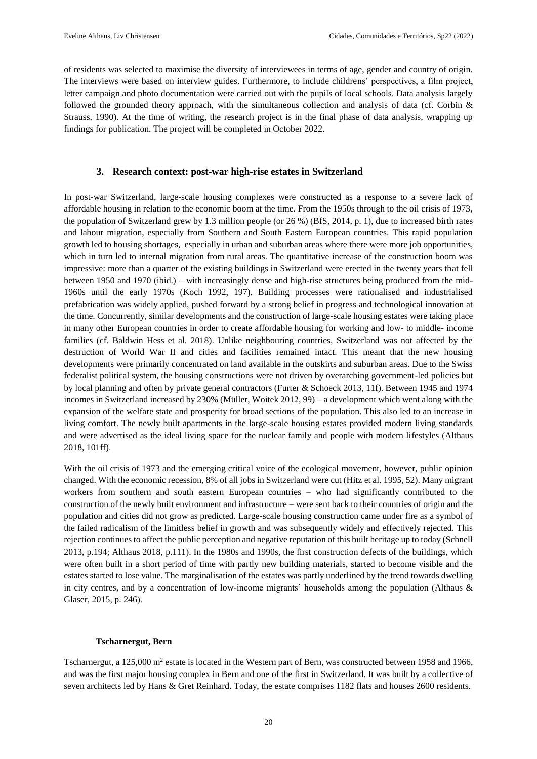of residents was selected to maximise the diversity of interviewees in terms of age, gender and country of origin. The interviews were based on interview guides. Furthermore, to include childrens' perspectives, a film project, letter campaign and photo documentation were carried out with the pupils of local schools. Data analysis largely followed the grounded theory approach, with the simultaneous collection and analysis of data (cf. Corbin & Strauss, 1990). At the time of writing, the research project is in the final phase of data analysis, wrapping up findings for publication. The project will be completed in October 2022.

### **3. Research context: post-war high-rise estates in Switzerland**

In post-war Switzerland, large-scale housing complexes were constructed as a response to a severe lack of affordable housing in relation to the economic boom at the time. From the 1950s through to the oil crisis of 1973, the population of Switzerland grew by 1.3 million people (or 26 %) (BfS, 2014, p. 1), due to increased birth rates and labour migration, especially from Southern and South Eastern European countries. This rapid population growth led to housing shortages, especially in urban and suburban areas where there were more job opportunities, which in turn led to internal migration from rural areas. The quantitative increase of the construction boom was impressive: more than a quarter of the existing buildings in Switzerland were erected in the twenty years that fell between 1950 and 1970 (ibid.) – with increasingly dense and high-rise structures being produced from the mid-1960s until the early 1970s (Koch 1992, 197). Building processes were rationalised and industrialised prefabrication was widely applied, pushed forward by a strong belief in progress and technological innovation at the time. Concurrently, similar developments and the construction of large-scale housing estates were taking place in many other European countries in order to create affordable housing for working and low- to middle- income families (cf. Baldwin Hess et al. 2018). Unlike neighbouring countries, Switzerland was not affected by the destruction of World War II and cities and facilities remained intact. This meant that the new housing developments were primarily concentrated on land available in the outskirts and suburban areas. Due to the Swiss federalist political system, the housing constructions were not driven by overarching government-led policies but by local planning and often by private general contractors (Furter & Schoeck 2013, 11f). Between 1945 and 1974 incomes in Switzerland increased by 230% (Müller, Woitek 2012, 99) – a development which went along with the expansion of the welfare state and prosperity for broad sections of the population. This also led to an increase in living comfort. The newly built apartments in the large-scale housing estates provided modern living standards and were advertised as the ideal living space for the nuclear family and people with modern lifestyles (Althaus 2018, 101ff).

With the oil crisis of 1973 and the emerging critical voice of the ecological movement, however, public opinion changed. With the economic recession, 8% of all jobs in Switzerland were cut (Hitz et al. 1995, 52). Many migrant workers from southern and south eastern European countries – who had significantly contributed to the construction of the newly built environment and infrastructure – were sent back to their countries of origin and the population and cities did not grow as predicted. Large-scale housing construction came under fire as a symbol of the failed radicalism of the limitless belief in growth and was subsequently widely and effectively rejected. This rejection continues to affect the public perception and negative reputation of this built heritage up to today (Schnell 2013, p.194; Althaus 2018, p.111). In the 1980s and 1990s, the first construction defects of the buildings, which were often built in a short period of time with partly new building materials, started to become visible and the estates started to lose value. The marginalisation of the estates was partly underlined by the trend towards dwelling in city centres, and by a concentration of low-income migrants' households among the population (Althaus & Glaser, 2015, p. 246).

### **Tscharnergut, Bern**

Tscharnergut, a 125,000 m<sup>2</sup> estate is located in the Western part of Bern, was constructed between 1958 and 1966, and was the first major housing complex in Bern and one of the first in Switzerland. It was built by a collective of seven architects led by Hans & Gret Reinhard. Today, the estate comprises 1182 flats and houses 2600 residents.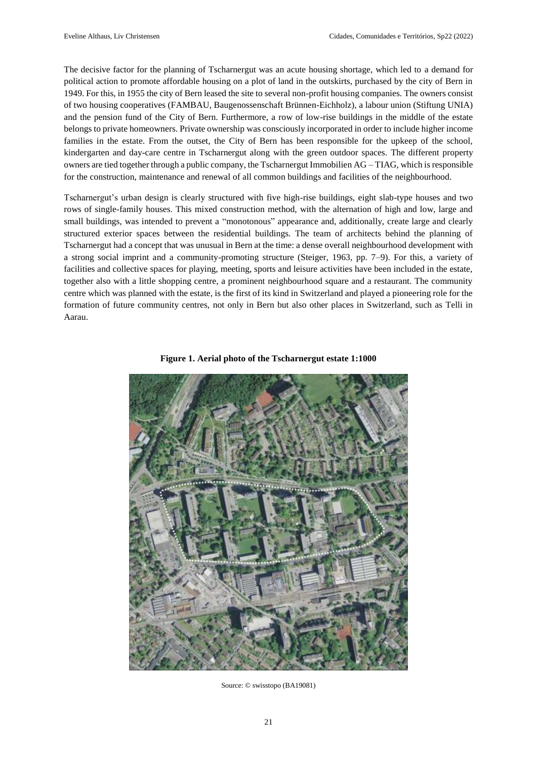The decisive factor for the planning of Tscharnergut was an acute housing shortage, which led to a demand for political action to promote affordable housing on a plot of land in the outskirts, purchased by the city of Bern in 1949. For this, in 1955 the city of Bern leased the site to several non-profit housing companies. The owners consist of two housing cooperatives (FAMBAU, Baugenossenschaft Brünnen-Eichholz), a labour union (Stiftung UNIA) and the pension fund of the City of Bern. Furthermore, a row of low-rise buildings in the middle of the estate belongs to private homeowners. Private ownership was consciously incorporated in order to include higher income families in the estate. From the outset, the City of Bern has been responsible for the upkeep of the school, kindergarten and day-care centre in Tscharnergut along with the green outdoor spaces. The different property owners are tied together through a public company, the Tscharnergut Immobilien AG – TIAG, which is responsible for the construction, maintenance and renewal of all common buildings and facilities of the neighbourhood.

Tscharnergut's urban design is clearly structured with five high-rise buildings, eight slab-type houses and two rows of single-family houses. This mixed construction method, with the alternation of high and low, large and small buildings, was intended to prevent a "monotonous" appearance and, additionally, create large and clearly structured exterior spaces between the residential buildings. The team of architects behind the planning of Tscharnergut had a concept that was unusual in Bern at the time: a dense overall neighbourhood development with a strong social imprint and a community-promoting structure (Steiger, 1963, pp. 7–9). For this, a variety of facilities and collective spaces for playing, meeting, sports and leisure activities have been included in the estate, together also with a little shopping centre, a prominent neighbourhood square and a restaurant. The community centre which was planned with the estate, is the first of its kind in Switzerland and played a pioneering role for the formation of future community centres, not only in Bern but also other places in Switzerland, such as Telli in Aarau.



**Figure 1. Aerial photo of the Tscharnergut estate 1:1000** 

Source: © swisstopo (BA19081)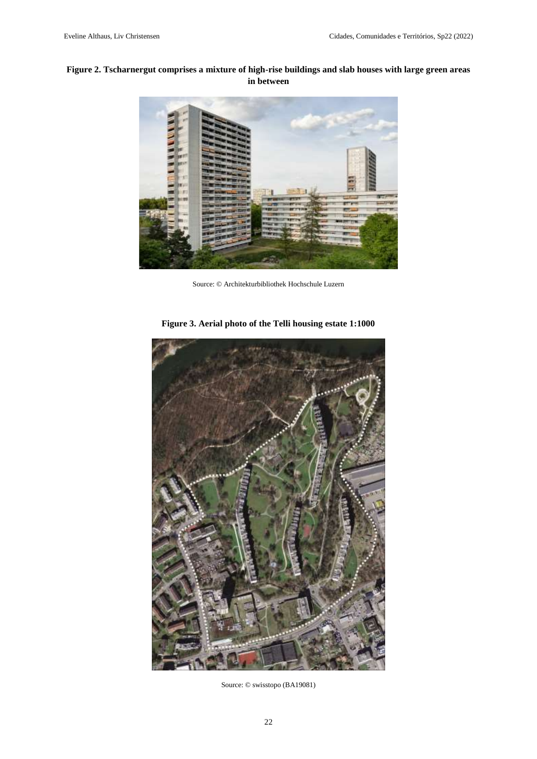# **Figure 2. Tscharnergut comprises a mixture of high-rise buildings and slab houses with large green areas in between**



Source: © Architekturbibliothek Hochschule Luzern



**Figure 3. Aerial photo of the Telli housing estate 1:1000** 

Source: © swisstopo (BA19081)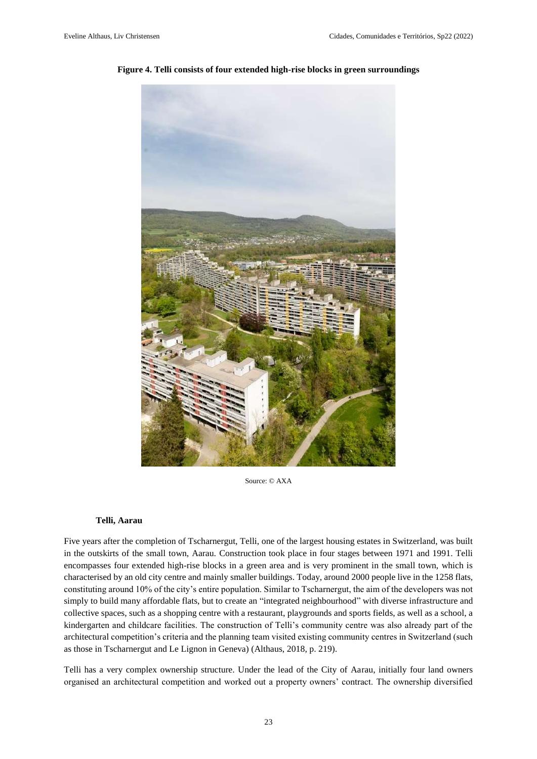

#### **Figure 4. Telli consists of four extended high-rise blocks in green surroundings**

Source: © AXA

#### **Telli, Aarau**

Five years after the completion of Tscharnergut, Telli, one of the largest housing estates in Switzerland, was built in the outskirts of the small town, Aarau. Construction took place in four stages between 1971 and 1991. Telli encompasses four extended high-rise blocks in a green area and is very prominent in the small town, which is characterised by an old city centre and mainly smaller buildings. Today, around 2000 people live in the 1258 flats, constituting around 10% of the city's entire population. Similar to Tscharnergut, the aim of the developers was not simply to build many affordable flats, but to create an "integrated neighbourhood" with diverse infrastructure and collective spaces, such as a shopping centre with a restaurant, playgrounds and sports fields, as well as a school, a kindergarten and childcare facilities. The construction of Telli's community centre was also already part of the architectural competition's criteria and the planning team visited existing community centres in Switzerland (such as those in Tscharnergut and Le Lignon in Geneva) (Althaus, 2018, p. 219).

Telli has a very complex ownership structure. Under the lead of the City of Aarau, initially four land owners organised an architectural competition and worked out a property owners' contract. The ownership diversified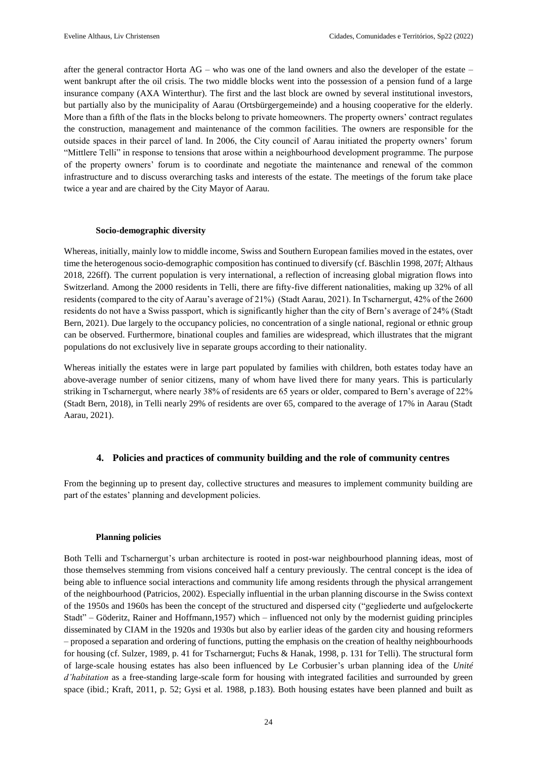after the general contractor Horta AG – who was one of the land owners and also the developer of the estate – went bankrupt after the oil crisis. The two middle blocks went into the possession of a pension fund of a large insurance company (AXA Winterthur). The first and the last block are owned by several institutional investors, but partially also by the municipality of Aarau (Ortsbürgergemeinde) and a housing cooperative for the elderly. More than a fifth of the flats in the blocks belong to private homeowners. The property owners' contract regulates the construction, management and maintenance of the common facilities. The owners are responsible for the outside spaces in their parcel of land. In 2006, the City council of Aarau initiated the property owners' forum "Mittlere Telli" in response to tensions that arose within a neighbourhood development programme. The purpose of the property owners' forum is to coordinate and negotiate the maintenance and renewal of the common infrastructure and to discuss overarching tasks and interests of the estate. The meetings of the forum take place twice a year and are chaired by the City Mayor of Aarau.

### **Socio-demographic diversity**

Whereas, initially, mainly low to middle income, Swiss and Southern European families moved in the estates, over time the heterogenous socio-demographic composition has continued to diversify (cf. Bäschlin 1998, 207f; Althaus 2018, 226ff). The current population is very international, a reflection of increasing global migration flows into Switzerland. Among the 2000 residents in Telli, there are fifty-five different nationalities, making up 32% of all residents (compared to the city of Aarau's average of 21%) (Stadt Aarau, 2021). In Tscharnergut, 42% of the 2600 residents do not have a Swiss passport, which is significantly higher than the city of Bern's average of 24% (Stadt Bern, 2021). Due largely to the occupancy policies, no concentration of a single national, regional or ethnic group can be observed. Furthermore, binational couples and families are widespread, which illustrates that the migrant populations do not exclusively live in separate groups according to their nationality.

Whereas initially the estates were in large part populated by families with children, both estates today have an above-average number of senior citizens, many of whom have lived there for many years. This is particularly striking in Tscharnergut, where nearly 38% of residents are 65 years or older, compared to Bern's average of 22% (Stadt Bern, 2018), in Telli nearly 29% of residents are over 65, compared to the average of 17% in Aarau (Stadt Aarau, 2021).

### **4. Policies and practices of community building and the role of community centres**

From the beginning up to present day, collective structures and measures to implement community building are part of the estates' planning and development policies.

### **Planning policies**

Both Telli and Tscharnergut's urban architecture is rooted in post-war neighbourhood planning ideas, most of those themselves stemming from visions conceived half a century previously. The central concept is the idea of being able to influence social interactions and community life among residents through the physical arrangement of the neighbourhood (Patricios, 2002). Especially influential in the urban planning discourse in the Swiss context of the 1950s and 1960s has been the concept of the structured and dispersed city ("gegliederte und aufgelockerte Stadt" – Göderitz, Rainer and Hoffmann,1957) which – influenced not only by the modernist guiding principles disseminated by CIAM in the 1920s and 1930s but also by earlier ideas of the garden city and housing reformers – proposed a separation and ordering of functions, putting the emphasis on the creation of healthy neighbourhoods for housing (cf. Sulzer, 1989, p. 41 for Tscharnergut; Fuchs & Hanak, 1998, p. 131 for Telli). The structural form of large-scale housing estates has also been influenced by Le Corbusier's urban planning idea of the *Unité d'habitation* as a free-standing large-scale form for housing with integrated facilities and surrounded by green space (ibid.; Kraft, 2011, p. 52; Gysi et al. 1988, p.183). Both housing estates have been planned and built as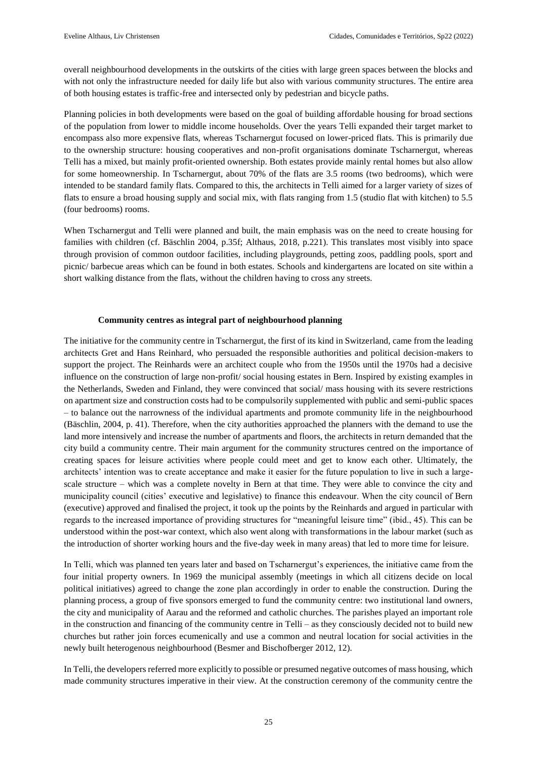overall neighbourhood developments in the outskirts of the cities with large green spaces between the blocks and with not only the infrastructure needed for daily life but also with various community structures. The entire area of both housing estates is traffic-free and intersected only by pedestrian and bicycle paths.

Planning policies in both developments were based on the goal of building affordable housing for broad sections of the population from lower to middle income households. Over the years Telli expanded their target market to encompass also more expensive flats, whereas Tscharnergut focused on lower-priced flats. This is primarily due to the ownership structure: housing cooperatives and non-profit organisations dominate Tscharnergut, whereas Telli has a mixed, but mainly profit-oriented ownership. Both estates provide mainly rental homes but also allow for some homeownership. In Tscharnergut, about 70% of the flats are 3.5 rooms (two bedrooms), which were intended to be standard family flats. Compared to this, the architects in Telli aimed for a larger variety of sizes of flats to ensure a broad housing supply and social mix, with flats ranging from 1.5 (studio flat with kitchen) to 5.5 (four bedrooms) rooms.

When Tscharnergut and Telli were planned and built, the main emphasis was on the need to create housing for families with children (cf. Bäschlin 2004, p.35f; Althaus, 2018, p.221). This translates most visibly into space through provision of common outdoor facilities, including playgrounds, petting zoos, paddling pools, sport and picnic/ barbecue areas which can be found in both estates. Schools and kindergartens are located on site within a short walking distance from the flats, without the children having to cross any streets.

### **Community centres as integral part of neighbourhood planning**

The initiative for the community centre in Tscharnergut, the first of its kind in Switzerland, came from the leading architects Gret and Hans Reinhard, who persuaded the responsible authorities and political decision-makers to support the project. The Reinhards were an architect couple who from the 1950s until the 1970s had a decisive influence on the construction of large non-profit/ social housing estates in Bern. Inspired by existing examples in the Netherlands, Sweden and Finland, they were convinced that social/ mass housing with its severe restrictions on apartment size and construction costs had to be compulsorily supplemented with public and semi-public spaces – to balance out the narrowness of the individual apartments and promote community life in the neighbourhood (Bäschlin, 2004, p. 41). Therefore, when the city authorities approached the planners with the demand to use the land more intensively and increase the number of apartments and floors, the architects in return demanded that the city build a community centre. Their main argument for the community structures centred on the importance of creating spaces for leisure activities where people could meet and get to know each other. Ultimately, the architects' intention was to create acceptance and make it easier for the future population to live in such a largescale structure – which was a complete novelty in Bern at that time. They were able to convince the city and municipality council (cities' executive and legislative) to finance this endeavour. When the city council of Bern (executive) approved and finalised the project, it took up the points by the Reinhards and argued in particular with regards to the increased importance of providing structures for "meaningful leisure time" (ibid., 45). This can be understood within the post-war context, which also went along with transformations in the labour market (such as the introduction of shorter working hours and the five-day week in many areas) that led to more time for leisure.

In Telli, which was planned ten years later and based on Tscharnergut's experiences, the initiative came from the four initial property owners. In 1969 the municipal assembly (meetings in which all citizens decide on local political initiatives) agreed to change the zone plan accordingly in order to enable the construction. During the planning process, a group of five sponsors emerged to fund the community centre: two institutional land owners, the city and municipality of Aarau and the reformed and catholic churches. The parishes played an important role in the construction and financing of the community centre in Telli – as they consciously decided not to build new churches but rather join forces ecumenically and use a common and neutral location for social activities in the newly built heterogenous neighbourhood (Besmer and Bischofberger 2012, 12).

In Telli, the developers referred more explicitly to possible or presumed negative outcomes of mass housing, which made community structures imperative in their view. At the construction ceremony of the community centre the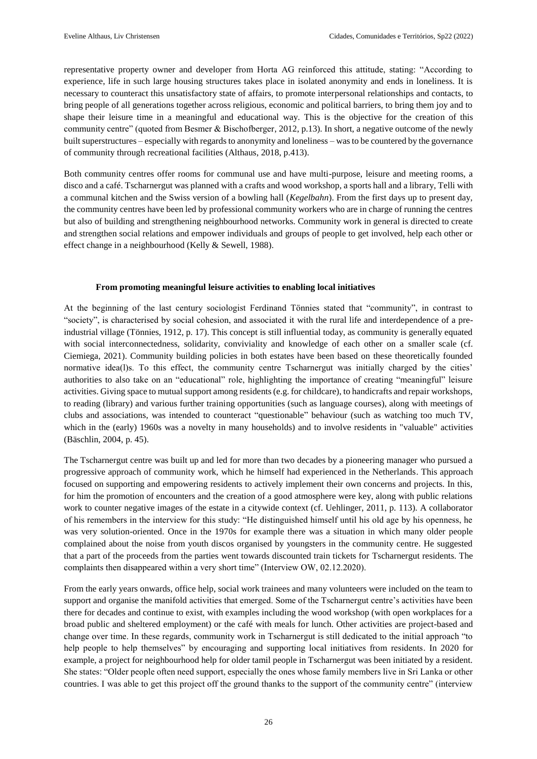representative property owner and developer from Horta AG reinforced this attitude, stating: "According to experience, life in such large housing structures takes place in isolated anonymity and ends in loneliness. It is necessary to counteract this unsatisfactory state of affairs, to promote interpersonal relationships and contacts, to bring people of all generations together across religious, economic and political barriers, to bring them joy and to shape their leisure time in a meaningful and educational way. This is the objective for the creation of this community centre" (quoted from Besmer & Bischofberger, 2012, p.13). In short, a negative outcome of the newly built superstructures – especially with regards to anonymity and loneliness – was to be countered by the governance of community through recreational facilities (Althaus, 2018, p.413).

Both community centres offer rooms for communal use and have multi-purpose, leisure and meeting rooms, a disco and a café. Tscharnergut was planned with a crafts and wood workshop, a sports hall and a library, Telli with a communal kitchen and the Swiss version of a bowling hall (*Kegelbahn*). From the first days up to present day, the community centres have been led by professional community workers who are in charge of running the centres but also of building and strengthening neighbourhood networks. Community work in general is directed to create and strengthen social relations and empower individuals and groups of people to get involved, help each other or effect change in a neighbourhood (Kelly & Sewell, 1988).

### **From promoting meaningful leisure activities to enabling local initiatives**

At the beginning of the last century sociologist Ferdinand Tönnies stated that "community", in contrast to "society", is characterised by social cohesion, and associated it with the rural life and interdependence of a preindustrial village (Tönnies, 1912, p. 17). This concept is still influential today, as community is generally equated with social interconnectedness, solidarity, conviviality and knowledge of each other on a smaller scale (cf. Ciemiega, 2021). Community building policies in both estates have been based on these theoretically founded normative idea(l)s. To this effect, the community centre Tscharnergut was initially charged by the cities' authorities to also take on an "educational" role, highlighting the importance of creating "meaningful" leisure activities. Giving space to mutual support among residents (e.g. for childcare), to handicrafts and repair workshops, to reading (library) and various further training opportunities (such as language courses), along with meetings of clubs and associations, was intended to counteract "questionable" behaviour (such as watching too much TV, which in the (early) 1960s was a novelty in many households) and to involve residents in "valuable" activities (Bäschlin, 2004, p. 45).

The Tscharnergut centre was built up and led for more than two decades by a pioneering manager who pursued a progressive approach of community work, which he himself had experienced in the Netherlands. This approach focused on supporting and empowering residents to actively implement their own concerns and projects. In this, for him the promotion of encounters and the creation of a good atmosphere were key, along with public relations work to counter negative images of the estate in a citywide context (cf. Uehlinger, 2011, p. 113). A collaborator of his remembers in the interview for this study: "He distinguished himself until his old age by his openness, he was very solution-oriented. Once in the 1970s for example there was a situation in which many older people complained about the noise from youth discos organised by youngsters in the community centre. He suggested that a part of the proceeds from the parties went towards discounted train tickets for Tscharnergut residents. The complaints then disappeared within a very short time" (Interview OW, 02.12.2020).

From the early years onwards, office help, social work trainees and many volunteers were included on the team to support and organise the manifold activities that emerged. Some of the Tscharnergut centre's activities have been there for decades and continue to exist, with examples including the wood workshop (with open workplaces for a broad public and sheltered employment) or the café with meals for lunch. Other activities are project-based and change over time. In these regards, community work in Tscharnergut is still dedicated to the initial approach "to help people to help themselves" by encouraging and supporting local initiatives from residents. In 2020 for example, a project for neighbourhood help for older tamil people in Tscharnergut was been initiated by a resident. She states: "Older people often need support, especially the ones whose family members live in Sri Lanka or other countries. I was able to get this project off the ground thanks to the support of the community centre" (interview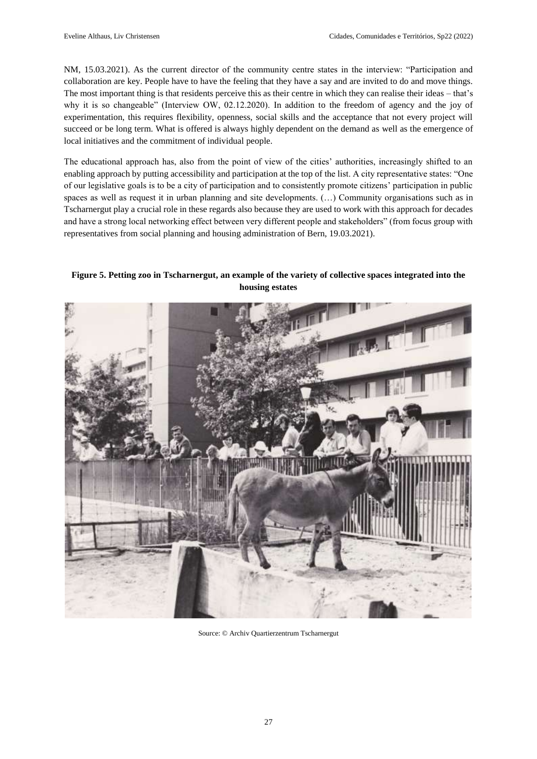NM, 15.03.2021). As the current director of the community centre states in the interview: "Participation and collaboration are key. People have to have the feeling that they have a say and are invited to do and move things. The most important thing is that residents perceive this as their centre in which they can realise their ideas – that's why it is so changeable" (Interview OW, 02.12.2020). In addition to the freedom of agency and the joy of experimentation, this requires flexibility, openness, social skills and the acceptance that not every project will succeed or be long term. What is offered is always highly dependent on the demand as well as the emergence of local initiatives and the commitment of individual people.

The educational approach has, also from the point of view of the cities' authorities, increasingly shifted to an enabling approach by putting accessibility and participation at the top of the list. A city representative states: "One of our legislative goals is to be a city of participation and to consistently promote citizens' participation in public spaces as well as request it in urban planning and site developments. (…) Community organisations such as in Tscharnergut play a crucial role in these regards also because they are used to work with this approach for decades and have a strong local networking effect between very different people and stakeholders" (from focus group with representatives from social planning and housing administration of Bern, 19.03.2021).

**Figure 5. Petting zoo in Tscharnergut, an example of the variety of collective spaces integrated into the housing estates**



Source: © Archiv Quartierzentrum Tscharnergut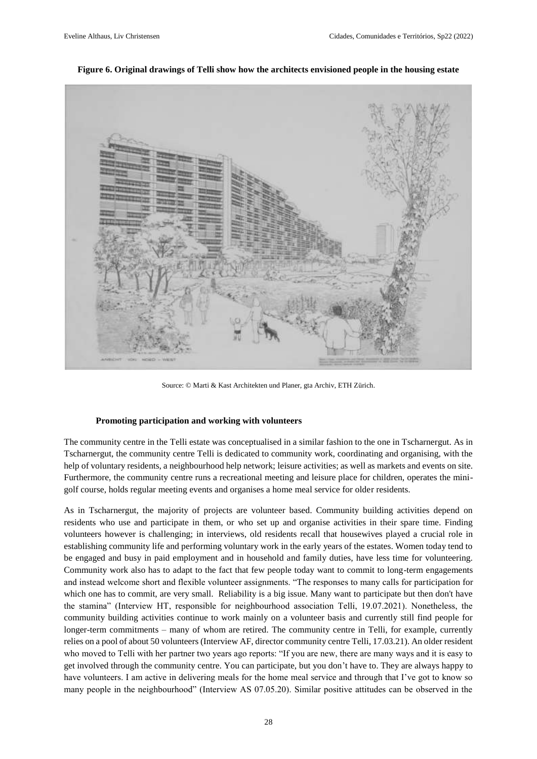

**Figure 6. Original drawings of Telli show how the architects envisioned people in the housing estate** 

Source: © Marti & Kast Architekten und Planer, gta Archiv, ETH Zürich.

#### **Promoting participation and working with volunteers**

The community centre in the Telli estate was conceptualised in a similar fashion to the one in Tscharnergut. As in Tscharnergut, the community centre Telli is dedicated to community work, coordinating and organising, with the help of voluntary residents, a neighbourhood help network; leisure activities; as well as markets and events on site. Furthermore, the community centre runs a recreational meeting and leisure place for children, operates the minigolf course, holds regular meeting events and organises a home meal service for older residents.

As in Tscharnergut, the majority of projects are volunteer based. Community building activities depend on residents who use and participate in them, or who set up and organise activities in their spare time. Finding volunteers however is challenging; in interviews, old residents recall that housewives played a crucial role in establishing community life and performing voluntary work in the early years of the estates. Women today tend to be engaged and busy in paid employment and in household and family duties, have less time for volunteering. Community work also has to adapt to the fact that few people today want to commit to long-term engagements and instead welcome short and flexible volunteer assignments. "The responses to many calls for participation for which one has to commit, are very small. Reliability is a big issue. Many want to participate but then don't have the stamina" (Interview HT, responsible for neighbourhood association Telli, 19.07.2021). Nonetheless, the community building activities continue to work mainly on a volunteer basis and currently still find people for longer-term commitments – many of whom are retired. The community centre in Telli, for example, currently relies on a pool of about 50 volunteers (Interview AF, director community centre Telli, 17.03.21). An older resident who moved to Telli with her partner two years ago reports: "If you are new, there are many ways and it is easy to get involved through the community centre. You can participate, but you don't have to. They are always happy to have volunteers. I am active in delivering meals for the home meal service and through that I've got to know so many people in the neighbourhood" (Interview AS 07.05.20). Similar positive attitudes can be observed in the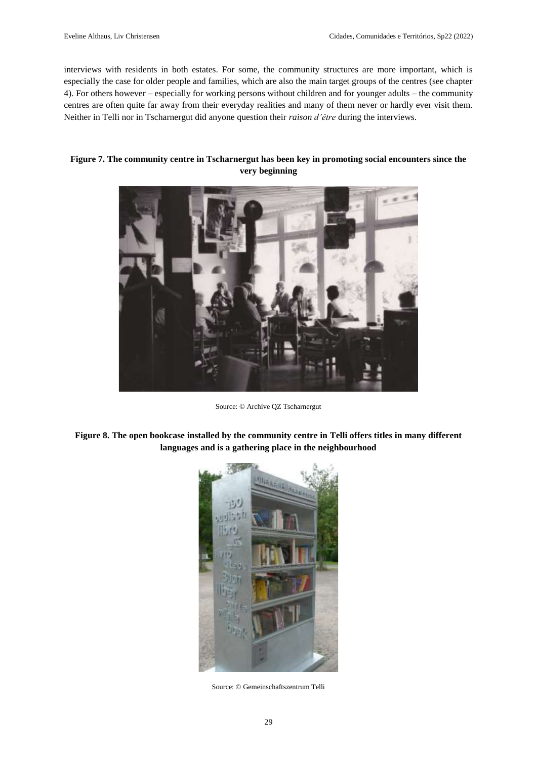interviews with residents in both estates. For some, the community structures are more important, which is especially the case for older people and families, which are also the main target groups of the centres (see chapter 4). For others however – especially for working persons without children and for younger adults – the community centres are often quite far away from their everyday realities and many of them never or hardly ever visit them. Neither in Telli nor in Tscharnergut did anyone question their *raison d'être* during the interviews.

### **Figure 7. The community centre in Tscharnergut has been key in promoting social encounters since the very beginning**



Source: © Archive QZ Tscharnergut

# **Figure 8. The open bookcase installed by the community centre in Telli offers titles in many different languages and is a gathering place in the neighbourhood**



Source: © Gemeinschaftszentrum Telli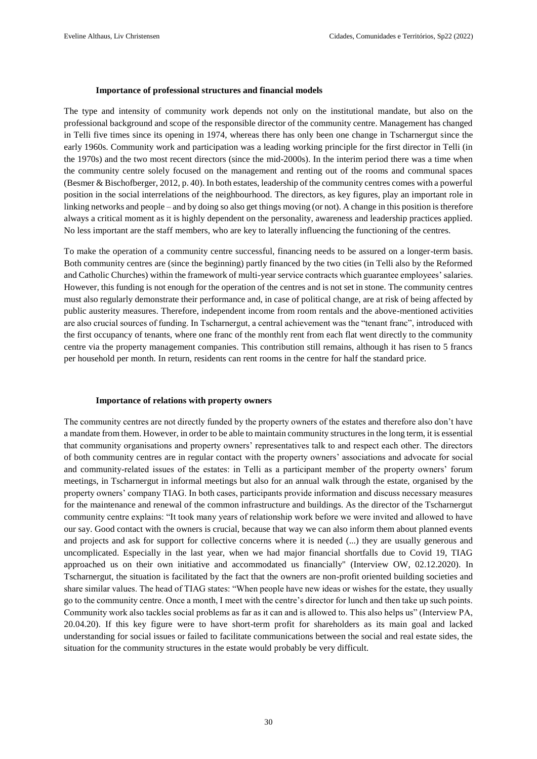#### **Importance of professional structures and financial models**

The type and intensity of community work depends not only on the institutional mandate, but also on the professional background and scope of the responsible director of the community centre. Management has changed in Telli five times since its opening in 1974, whereas there has only been one change in Tscharnergut since the early 1960s. Community work and participation was a leading working principle for the first director in Telli (in the 1970s) and the two most recent directors (since the mid-2000s). In the interim period there was a time when the community centre solely focused on the management and renting out of the rooms and communal spaces (Besmer & Bischofberger, 2012, p. 40). In both estates, leadership of the community centres comes with a powerful position in the social interrelations of the neighbourhood. The directors, as key figures, play an important role in linking networks and people – and by doing so also get things moving (or not). A change in this position is therefore always a critical moment as it is highly dependent on the personality, awareness and leadership practices applied. No less important are the staff members, who are key to laterally influencing the functioning of the centres.

To make the operation of a community centre successful, financing needs to be assured on a longer-term basis. Both community centres are (since the beginning) partly financed by the two cities (in Telli also by the Reformed and Catholic Churches) within the framework of multi-year service contracts which guarantee employees' salaries. However, this funding is not enough for the operation of the centres and is not set in stone. The community centres must also regularly demonstrate their performance and, in case of political change, are at risk of being affected by public austerity measures. Therefore, independent income from room rentals and the above-mentioned activities are also crucial sources of funding. In Tscharnergut, a central achievement was the "tenant franc", introduced with the first occupancy of tenants, where one franc of the monthly rent from each flat went directly to the community centre via the property management companies. This contribution still remains, although it has risen to 5 francs per household per month. In return, residents can rent rooms in the centre for half the standard price.

#### **Importance of relations with property owners**

The community centres are not directly funded by the property owners of the estates and therefore also don't have a mandate from them. However, in order to be able to maintain community structures in the long term, it is essential that community organisations and property owners' representatives talk to and respect each other. The directors of both community centres are in regular contact with the property owners' associations and advocate for social and community-related issues of the estates: in Telli as a participant member of the property owners' forum meetings, in Tscharnergut in informal meetings but also for an annual walk through the estate, organised by the property owners' company TIAG. In both cases, participants provide information and discuss necessary measures for the maintenance and renewal of the common infrastructure and buildings. As the director of the Tscharnergut community centre explains: "It took many years of relationship work before we were invited and allowed to have our say. Good contact with the owners is crucial, because that way we can also inform them about planned events and projects and ask for support for collective concerns where it is needed (...) they are usually generous and uncomplicated. Especially in the last year, when we had major financial shortfalls due to Covid 19, TIAG approached us on their own initiative and accommodated us financially" (Interview OW, 02.12.2020). In Tscharnergut, the situation is facilitated by the fact that the owners are non-profit oriented building societies and share similar values. The head of TIAG states: "When people have new ideas or wishes for the estate, they usually go to the community centre. Once a month, I meet with the centre's director for lunch and then take up such points. Community work also tackles social problems as far as it can and is allowed to. This also helps us" (Interview PA, 20.04.20). If this key figure were to have short-term profit for shareholders as its main goal and lacked understanding for social issues or failed to facilitate communications between the social and real estate sides, the situation for the community structures in the estate would probably be very difficult.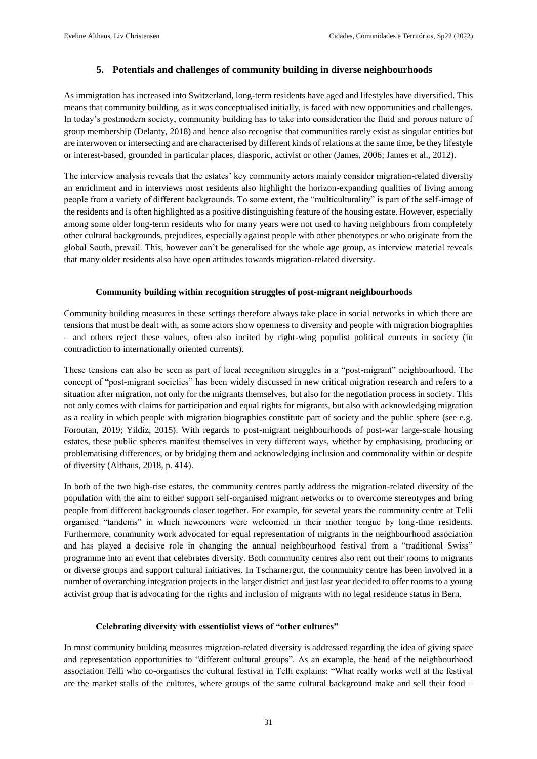# **5. Potentials and challenges of community building in diverse neighbourhoods**

As immigration has increased into Switzerland, long-term residents have aged and lifestyles have diversified. This means that community building, as it was conceptualised initially, is faced with new opportunities and challenges. In today's postmodern society, community building has to take into consideration the fluid and porous nature of group membership (Delanty, 2018) and hence also recognise that communities rarely exist as singular entities but are interwoven or intersecting and are characterised by different kinds of relations at the same time, be they lifestyle or interest-based, grounded in particular places, diasporic, activist or other (James, 2006; James et al., 2012).

The interview analysis reveals that the estates' key community actors mainly consider migration-related diversity an enrichment and in interviews most residents also highlight the horizon-expanding qualities of living among people from a variety of different backgrounds. To some extent, the "multiculturality" is part of the self-image of the residents and is often highlighted as a positive distinguishing feature of the housing estate. However, especially among some older long-term residents who for many years were not used to having neighbours from completely other cultural backgrounds, prejudices, especially against people with other phenotypes or who originate from the global South, prevail. This, however can't be generalised for the whole age group, as interview material reveals that many older residents also have open attitudes towards migration-related diversity.

### **Community building within recognition struggles of post-migrant neighbourhoods**

Community building measures in these settings therefore always take place in social networks in which there are tensions that must be dealt with, as some actors show openness to diversity and people with migration biographies – and others reject these values, often also incited by right-wing populist political currents in society (in contradiction to internationally oriented currents).

These tensions can also be seen as part of local recognition struggles in a "post-migrant" neighbourhood. The concept of "post-migrant societies" has been widely discussed in new critical migration research and refers to a situation after migration, not only for the migrants themselves, but also for the negotiation process in society. This not only comes with claims for participation and equal rights for migrants, but also with acknowledging migration as a reality in which people with migration biographies constitute part of society and the public sphere (see e.g. Foroutan, 2019; Yildiz, 2015). With regards to post-migrant neighbourhoods of post-war large-scale housing estates, these public spheres manifest themselves in very different ways, whether by emphasising, producing or problematising differences, or by bridging them and acknowledging inclusion and commonality within or despite of diversity (Althaus, 2018, p. 414).

In both of the two high-rise estates, the community centres partly address the migration-related diversity of the population with the aim to either support self-organised migrant networks or to overcome stereotypes and bring people from different backgrounds closer together. For example, for several years the community centre at Telli organised "tandems" in which newcomers were welcomed in their mother tongue by long-time residents. Furthermore, community work advocated for equal representation of migrants in the neighbourhood association and has played a decisive role in changing the annual neighbourhood festival from a "traditional Swiss" programme into an event that celebrates diversity. Both community centres also rent out their rooms to migrants or diverse groups and support cultural initiatives. In Tscharnergut, the community centre has been involved in a number of overarching integration projects in the larger district and just last year decided to offer rooms to a young activist group that is advocating for the rights and inclusion of migrants with no legal residence status in Bern.

### **Celebrating diversity with essentialist views of "other cultures"**

In most community building measures migration-related diversity is addressed regarding the idea of giving space and representation opportunities to "different cultural groups". As an example, the head of the neighbourhood association Telli who co-organises the cultural festival in Telli explains: "What really works well at the festival are the market stalls of the cultures, where groups of the same cultural background make and sell their food –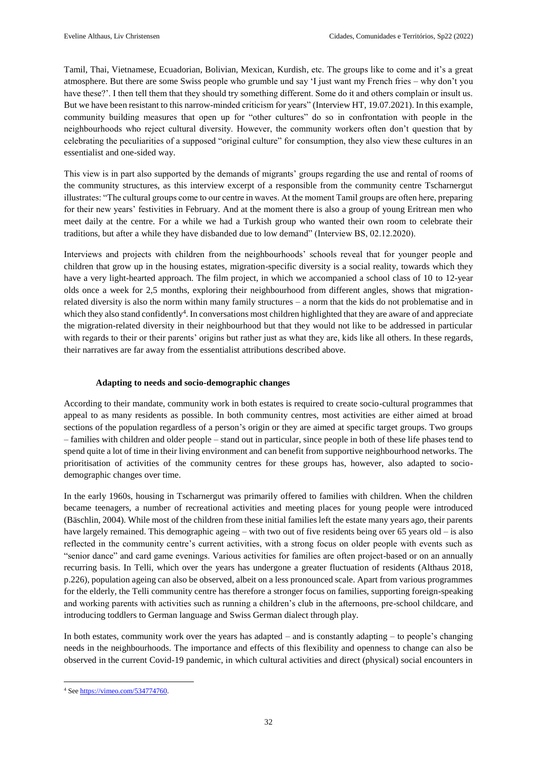Tamil, Thai, Vietnamese, Ecuadorian, Bolivian, Mexican, Kurdish, etc. The groups like to come and it's a great atmosphere. But there are some Swiss people who grumble und say 'I just want my French fries – why don't you have these?'. I then tell them that they should try something different. Some do it and others complain or insult us. But we have been resistant to this narrow-minded criticism for years" (Interview HT, 19.07.2021). In this example, community building measures that open up for "other cultures" do so in confrontation with people in the neighbourhoods who reject cultural diversity. However, the community workers often don't question that by celebrating the peculiarities of a supposed "original culture" for consumption, they also view these cultures in an essentialist and one-sided way.

This view is in part also supported by the demands of migrants' groups regarding the use and rental of rooms of the community structures, as this interview excerpt of a responsible from the community centre Tscharnergut illustrates: "The cultural groups come to our centre in waves. At the moment Tamil groups are often here, preparing for their new years' festivities in February. And at the moment there is also a group of young Eritrean men who meet daily at the centre. For a while we had a Turkish group who wanted their own room to celebrate their traditions, but after a while they have disbanded due to low demand" (Interview BS, 02.12.2020).

Interviews and projects with children from the neighbourhoods' schools reveal that for younger people and children that grow up in the housing estates, migration-specific diversity is a social reality, towards which they have a very light-hearted approach. The film project, in which we accompanied a school class of 10 to 12-year olds once a week for 2,5 months, exploring their neighbourhood from different angles, shows that migrationrelated diversity is also the norm within many family structures – a norm that the kids do not problematise and in which they also stand confidently<sup>4</sup>. In conversations most children highlighted that they are aware of and appreciate the migration-related diversity in their neighbourhood but that they would not like to be addressed in particular with regards to their or their parents' origins but rather just as what they are, kids like all others. In these regards, their narratives are far away from the essentialist attributions described above.

### **Adapting to needs and socio-demographic changes**

According to their mandate, community work in both estates is required to create socio-cultural programmes that appeal to as many residents as possible. In both community centres, most activities are either aimed at broad sections of the population regardless of a person's origin or they are aimed at specific target groups. Two groups – families with children and older people – stand out in particular, since people in both of these life phases tend to spend quite a lot of time in their living environment and can benefit from supportive neighbourhood networks. The prioritisation of activities of the community centres for these groups has, however, also adapted to sociodemographic changes over time.

In the early 1960s, housing in Tscharnergut was primarily offered to families with children. When the children became teenagers, a number of recreational activities and meeting places for young people were introduced (Bäschlin, 2004). While most of the children from these initial families left the estate many years ago, their parents have largely remained. This demographic ageing – with two out of five residents being over 65 years old – is also reflected in the community centre's current activities, with a strong focus on older people with events such as "senior dance" and card game evenings. Various activities for families are often project-based or on an annually recurring basis. In Telli, which over the years has undergone a greater fluctuation of residents (Althaus 2018, p.226), population ageing can also be observed, albeit on a less pronounced scale. Apart from various programmes for the elderly, the Telli community centre has therefore a stronger focus on families, supporting foreign-speaking and working parents with activities such as running a children's club in the afternoons, pre-school childcare, and introducing toddlers to German language and Swiss German dialect through play.

In both estates, community work over the years has adapted – and is constantly adapting – to people's changing needs in the neighbourhoods. The importance and effects of this flexibility and openness to change can also be observed in the current Covid-19 pandemic, in which cultural activities and direct (physical) social encounters in

 $\overline{\phantom{a}}$ <sup>4</sup> See [https://vimeo.com/534774760.](https://vimeo.com/534774760)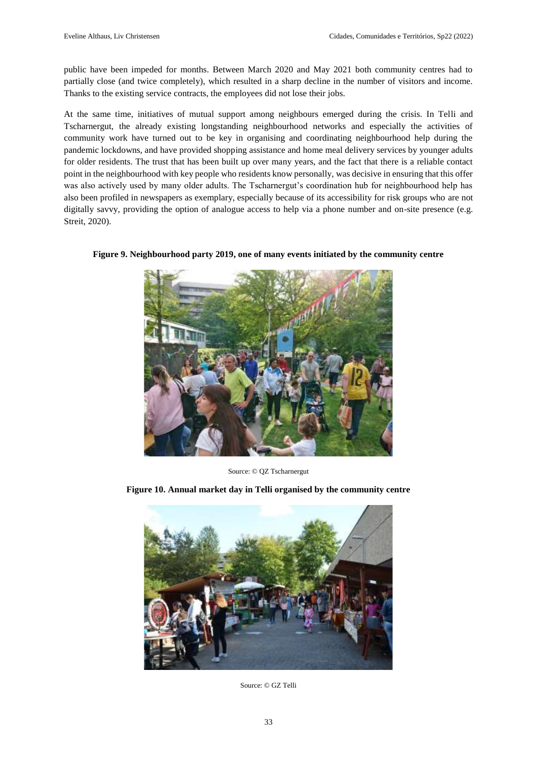public have been impeded for months. Between March 2020 and May 2021 both community centres had to partially close (and twice completely), which resulted in a sharp decline in the number of visitors and income. Thanks to the existing service contracts, the employees did not lose their jobs.

At the same time, initiatives of mutual support among neighbours emerged during the crisis. In Telli and Tscharnergut, the already existing longstanding neighbourhood networks and especially the activities of community work have turned out to be key in organising and coordinating neighbourhood help during the pandemic lockdowns, and have provided shopping assistance and home meal delivery services by younger adults for older residents. The trust that has been built up over many years, and the fact that there is a reliable contact point in the neighbourhood with key people who residents know personally, was decisive in ensuring that this offer was also actively used by many older adults. The Tscharnergut's coordination hub for neighbourhood help has also been profiled in newspapers as exemplary, especially because of its accessibility for risk groups who are not digitally savvy, providing the option of analogue access to help via a phone number and on-site presence (e.g. Streit, 2020).



**Figure 9. Neighbourhood party 2019, one of many events initiated by the community centre** 

Source: © QZ Tscharnergut

**Figure 10. Annual market day in Telli organised by the community centre** 



Source: © GZ Telli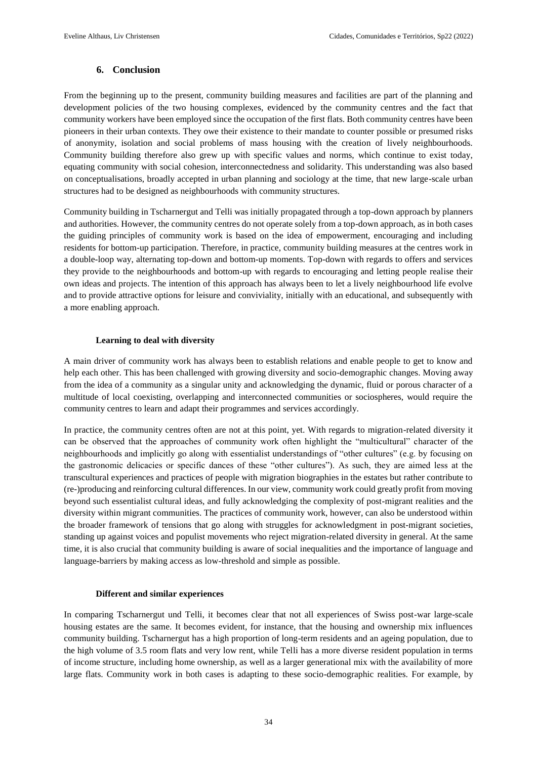# **6. Conclusion**

From the beginning up to the present, community building measures and facilities are part of the planning and development policies of the two housing complexes, evidenced by the community centres and the fact that community workers have been employed since the occupation of the first flats. Both community centres have been pioneers in their urban contexts. They owe their existence to their mandate to counter possible or presumed risks of anonymity, isolation and social problems of mass housing with the creation of lively neighbourhoods. Community building therefore also grew up with specific values and norms, which continue to exist today, equating community with social cohesion, interconnectedness and solidarity. This understanding was also based on conceptualisations, broadly accepted in urban planning and sociology at the time, that new large-scale urban structures had to be designed as neighbourhoods with community structures.

Community building in Tscharnergut and Telli was initially propagated through a top-down approach by planners and authorities. However, the community centres do not operate solely from a top-down approach, as in both cases the guiding principles of community work is based on the idea of empowerment, encouraging and including residents for bottom-up participation. Therefore, in practice, community building measures at the centres work in a double-loop way, alternating top-down and bottom-up moments. Top-down with regards to offers and services they provide to the neighbourhoods and bottom-up with regards to encouraging and letting people realise their own ideas and projects. The intention of this approach has always been to let a lively neighbourhood life evolve and to provide attractive options for leisure and conviviality, initially with an educational, and subsequently with a more enabling approach.

### **Learning to deal with diversity**

A main driver of community work has always been to establish relations and enable people to get to know and help each other. This has been challenged with growing diversity and socio-demographic changes. Moving away from the idea of a community as a singular unity and acknowledging the dynamic, fluid or porous character of a multitude of local coexisting, overlapping and interconnected communities or sociospheres, would require the community centres to learn and adapt their programmes and services accordingly.

In practice, the community centres often are not at this point, yet. With regards to migration-related diversity it can be observed that the approaches of community work often highlight the "multicultural" character of the neighbourhoods and implicitly go along with essentialist understandings of "other cultures" (e.g. by focusing on the gastronomic delicacies or specific dances of these "other cultures"). As such, they are aimed less at the transcultural experiences and practices of people with migration biographies in the estates but rather contribute to (re-)producing and reinforcing cultural differences. In our view, community work could greatly profit from moving beyond such essentialist cultural ideas, and fully acknowledging the complexity of post-migrant realities and the diversity within migrant communities. The practices of community work, however, can also be understood within the broader framework of tensions that go along with struggles for acknowledgment in post-migrant societies, standing up against voices and populist movements who reject migration-related diversity in general. At the same time, it is also crucial that community building is aware of social inequalities and the importance of language and language-barriers by making access as low-threshold and simple as possible.

### **Different and similar experiences**

In comparing Tscharnergut und Telli, it becomes clear that not all experiences of Swiss post-war large-scale housing estates are the same. It becomes evident, for instance, that the housing and ownership mix influences community building. Tscharnergut has a high proportion of long-term residents and an ageing population, due to the high volume of 3.5 room flats and very low rent, while Telli has a more diverse resident population in terms of income structure, including home ownership, as well as a larger generational mix with the availability of more large flats. Community work in both cases is adapting to these socio-demographic realities. For example, by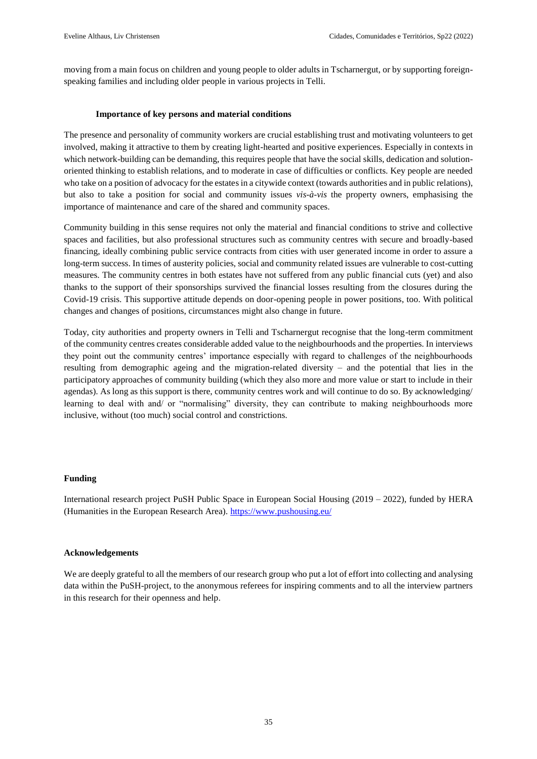moving from a main focus on children and young people to older adults in Tscharnergut, or by supporting foreignspeaking families and including older people in various projects in Telli.

#### **Importance of key persons and material conditions**

The presence and personality of community workers are crucial establishing trust and motivating volunteers to get involved, making it attractive to them by creating light-hearted and positive experiences. Especially in contexts in which network-building can be demanding, this requires people that have the social skills, dedication and solutionoriented thinking to establish relations, and to moderate in case of difficulties or conflicts. Key people are needed who take on a position of advocacy for the estates in a citywide context (towards authorities and in public relations), but also to take a position for social and community issues *vis-à-vis* the property owners, emphasising the importance of maintenance and care of the shared and community spaces.

Community building in this sense requires not only the material and financial conditions to strive and collective spaces and facilities, but also professional structures such as community centres with secure and broadly-based financing, ideally combining public service contracts from cities with user generated income in order to assure a long-term success. In times of austerity policies, social and community related issues are vulnerable to cost-cutting measures. The community centres in both estates have not suffered from any public financial cuts (yet) and also thanks to the support of their sponsorships survived the financial losses resulting from the closures during the Covid-19 crisis. This supportive attitude depends on door-opening people in power positions, too. With political changes and changes of positions, circumstances might also change in future.

Today, city authorities and property owners in Telli and Tscharnergut recognise that the long-term commitment of the community centres creates considerable added value to the neighbourhoods and the properties. In interviews they point out the community centres' importance especially with regard to challenges of the neighbourhoods resulting from demographic ageing and the migration-related diversity – and the potential that lies in the participatory approaches of community building (which they also more and more value or start to include in their agendas). As long as this support is there, community centres work and will continue to do so. By acknowledging/ learning to deal with and/ or "normalising" diversity, they can contribute to making neighbourhoods more inclusive, without (too much) social control and constrictions.

### **Funding**

International research project PuSH Public Space in European Social Housing (2019 – 2022), funded by HERA (Humanities in the European Research Area). <https://www.pushousing.eu/>

### **Acknowledgements**

We are deeply grateful to all the members of our research group who put a lot of effort into collecting and analysing data within the PuSH-project, to the anonymous referees for inspiring comments and to all the interview partners in this research for their openness and help.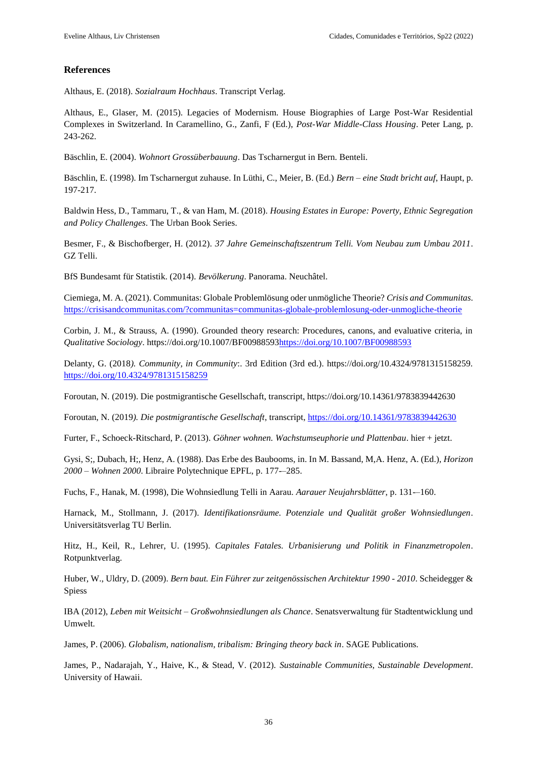## **References**

Althaus, E. (2018). *Sozialraum Hochhaus*. Transcript Verlag.

Althaus, E., Glaser, M. (2015). Legacies of Modernism. House Biographies of Large Post-War Residential Complexes in Switzerland. In Caramellino, G., Zanfi, F (Ed.), *Post-War Middle-Class Housing*. Peter Lang, p. 243-262.

Bäschlin, E. (2004). *Wohnort Grossüberbauung*. Das Tscharnergut in Bern. Benteli.

Bäschlin, E. (1998). Im Tscharnergut zuhause. In Lüthi, C., Meier, B. (Ed.) *Bern – eine Stadt bricht auf*, Haupt, p. 197-217.

Baldwin Hess, D., Tammaru, T., & van Ham, M. (2018). *Housing Estates in Europe: Poverty, Ethnic Segregation and Policy Challenges*. The Urban Book Series.

Besmer, F., & Bischofberger, H. (2012). *37 Jahre Gemeinschaftszentrum Telli. Vom Neubau zum Umbau 2011*. GZ Telli.

BfS Bundesamt für Statistik. (2014). *Bevölkerung*. Panorama. Neuchâtel.

Ciemiega, M. A. (2021). Communitas: Globale Problemlösung oder unmögliche Theorie? *Crisis and Communitas*. <https://crisisandcommunitas.com/?communitas=communitas-globale-problemlosung-oder-unmogliche-theorie>

Corbin, J. M., & Strauss, A. (1990). Grounded theory research: Procedures, canons, and evaluative criteria, in *Qualitative Sociology*. https://doi.org/10.1007/BF0098859[3https://doi.org/10.1007/BF00988593](https://doi.org/10.1007/BF00988593)

Delanty, G. (2018*). Community, in Community*:. 3rd Edition (3rd ed.). https://doi.org/10.4324/9781315158259. <https://doi.org/10.4324/9781315158259>

Foroutan, N. (2019). Die postmigrantische Gesellschaft, transcript, https://doi.org/10.14361/9783839442630

Foroutan, N. (2019*). Die postmigrantische Gesellschaft*, transcript,<https://doi.org/10.14361/9783839442630>

Furter, F., Schoeck-Ritschard, P. (2013). *Göhner wohnen. Wachstumseuphorie und Plattenbau*. hier + jetzt.

Gysi, S;, Dubach, H;, Henz, A. (1988). Das Erbe des Baubooms, in. In M. Bassand, M,A. Henz, A. (Ed.), *Horizon 2000 – Wohnen 2000*. Libraire Polytechnique EPFL, p. 177-–285.

Fuchs, F., Hanak, M. (1998), Die Wohnsiedlung Telli in Aarau. *Aarauer Neujahrsblätter*, p. 131-–160.

Harnack, M., Stollmann, J. (2017). *Identifikationsräume. Potenziale und Qualität großer Wohnsiedlungen*. Universitätsverlag TU Berlin.

Hitz, H., Keil, R., Lehrer, U. (1995). *Capitales Fatales. Urbanisierung und Politik in Finanzmetropolen*. Rotpunktverlag.

Huber, W., Uldry, D. (2009). *Bern baut. Ein Führer zur zeitgenössischen Architektur 1990 - 2010*. Scheidegger & Spiess

IBA (2012), *Leben mit Weitsicht – Großwohnsiedlungen als Chance*. Senatsverwaltung für Stadtentwicklung und Umwelt.

James, P. (2006). *Globalism, nationalism, tribalism: Bringing theory back in*. SAGE Publications.

James, P., Nadarajah, Y., Haive, K., & Stead, V. (2012). *Sustainable Communities, Sustainable Development*. University of Hawaii.